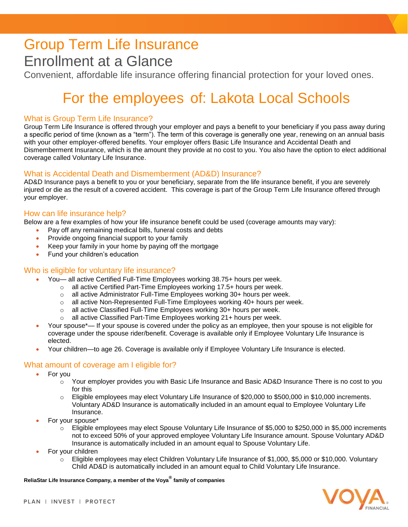# Group Term Life Insurance Enrollment at a Glance

Convenient, affordable life insurance offering financial protection for your loved ones.

# For the employees of: Lakota Local Schools

# What is Group Term Life Insurance?

Group Term Life Insurance is offered through your employer and pays a benefit to your beneficiary if you pass away during a specific period of time (known as a "term"). The term of this coverage is generally one year, renewing on an annual basis with your other employer-offered benefits. Your employer offers Basic Life Insurance and Accidental Death and Dismemberment Insurance, which is the amount they provide at no cost to you. You also have the option to elect additional coverage called Voluntary Life Insurance.

# What is Accidental Death and Dismemberment (AD&D) Insurance?

AD&D Insurance pays a benefit to you or your beneficiary, separate from the life insurance benefit, if you are severely injured or die as the result of a covered accident. This coverage is part of the Group Term Life Insurance offered through your employer.

# How can life insurance help?

Below are a few examples of how your life insurance benefit could be used (coverage amounts may vary):

- Pay off any remaining medical bills, funeral costs and debts
- Provide ongoing financial support to your family
- Keep your family in your home by paying off the mortgage
- Fund your children's education

# Who is eligible for voluntary life insurance?

- You— all active Certified Full-Time Employees working 38.75+ hours per week.
	- o all active Certified Part-Time Employees working 17.5+ hours per week.
	- o all active Administrator Full-Time Employees working 30+ hours per week.
	- $\circ$  all active Non-Represented Full-Time Employees working 40+ hours per week.
	- o all active Classified Full-Time Employees working 30+ hours per week.
	- o all active Classified Part-Time Employees working 21+ hours per week.
- Your spouse\*— If your spouse is covered under the policy as an employee, then your spouse is not eligible for coverage under the spouse rider/benefit. Coverage is available only if Employee Voluntary Life Insurance is elected.
- Your children—to age 26. Coverage is available only if Employee Voluntary Life Insurance is elected.

# What amount of coverage am I eligible for?

- For you
	- $\circ$  Your employer provides you with Basic Life Insurance and Basic AD&D Insurance There is no cost to you for this
	- o Eligible employees may elect Voluntary Life Insurance of \$20,000 to \$500,000 in \$10,000 increments. Voluntary AD&D Insurance is automatically included in an amount equal to Employee Voluntary Life Insurance.
- For your spouse\*
	- o Eligible employees may elect Spouse Voluntary Life Insurance of \$5,000 to \$250,000 in \$5,000 increments not to exceed 50% of your approved employee Voluntary Life Insurance amount. Spouse Voluntary AD&D Insurance is automatically included in an amount equal to Spouse Voluntary Life.
- For your children
	- o Eligible employees may elect Children Voluntary Life Insurance of \$1,000, \$5,000 or \$10,000. Voluntary Child AD&D is automatically included in an amount equal to Child Voluntary Life Insurance.

**ReliaStar Life Insurance Company, a member of the Voya® family of companies**

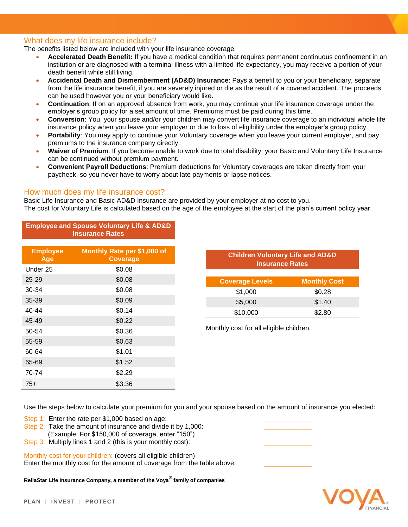#### What does my life insurance include?

The benefits listed below are included with your life insurance coverage.

- **Accelerated Death Benefit:** If you have a medical condition that requires permanent continuous confinement in an institution or are diagnosed with a terminal illness with a limited life expectancy, you may receive a portion of your death benefit while still living.
- **Accidental Death and Dismemberment (AD&D) Insurance**: Pays a benefit to you or your beneficiary, separate from the life insurance benefit, if you are severely injured or die as the result of a covered accident. The proceeds can be used however you or your beneficiary would like.
- **Continuation**: If on an approved absence from work, you may continue your life insurance coverage under the employer's group policy for a set amount of time. Premiums must be paid during this time.
- **Conversion**: You, your spouse and/or your children may convert life insurance coverage to an individual whole life insurance policy when you leave your employer or due to loss of eligibility under the employer's group policy.
- **Portability**: You may apply to continue your Voluntary coverage when you leave your current employer, and pay premiums to the insurance company directly.
- **Waiver of Premium**: If you become unable to work due to total disability, your Basic and Voluntary Life Insurance can be continued without premium payment.
- **Convenient Payroll Deductions**: Premium deductions for Voluntary coverages are taken directly from your paycheck, so you never have to worry about late payments or lapse notices.

#### How much does my life insurance cost?

Basic Life Insurance and Basic AD&D Insurance are provided by your employer at no cost to you. The cost for Voluntary Life is calculated based on the age of the employee at the start of the plan's current policy year.

| <b>Employee and Spouse Voluntary Life &amp; AD&amp;D</b><br><b>Insurance Rates</b> |                             |
|------------------------------------------------------------------------------------|-----------------------------|
| <b>Employee</b>                                                                    | Monthly Rate per \$1,000 of |
| Age<br>Under 25                                                                    | <b>Coverage</b><br>\$0.08   |
| $25 - 29$                                                                          | \$0.08                      |
| 30-34                                                                              | \$0.08                      |
| 35-39                                                                              | \$0.09                      |
| 40-44                                                                              | \$0.14                      |
| 45-49                                                                              | \$0.22                      |
| 50-54                                                                              | \$0.36                      |
| 55-59                                                                              | \$0.63                      |
| 60-64                                                                              | \$1.01                      |
| 65-69                                                                              | \$1.52                      |
| 70-74                                                                              | \$2.29                      |
| $75+$                                                                              | \$3.36                      |

| <b>Children Voluntary Life and AD&amp;D</b><br><b>Insurance Rates</b> |  |  |
|-----------------------------------------------------------------------|--|--|
| <b>Monthly Cost</b>                                                   |  |  |
| \$0.28                                                                |  |  |
| \$1.40                                                                |  |  |
| \$2.80                                                                |  |  |
|                                                                       |  |  |

Monthly cost for all eligible children.

Use the steps below to calculate your premium for you and your spouse based on the amount of insurance you elected:

- Step 1: Enter the rate per \$1,000 based on age:
- Step 2: Take the amount of insurance and divide it by 1,000:
- (Example: For \$150,000 of coverage, enter "150")
- Step 3: Multiply lines 1 and 2 (this is your monthly cost):

Monthly cost for your children: (covers all eligible children) Enter the monthly cost for the amount of coverage from the table above:

**ReliaStar Life Insurance Company, a member of the Voya® family of companies**